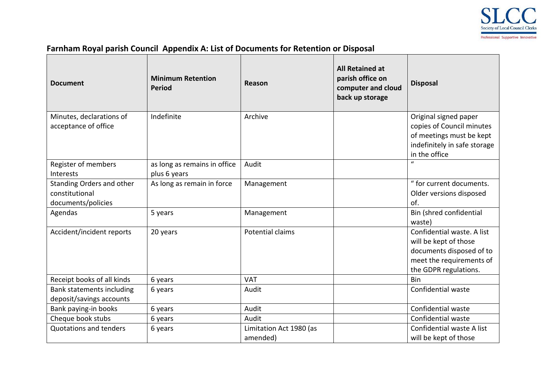

## **Farnham Royal parish Council Appendix A: List of Documents for Retention or Disposal**

| <b>Document</b>                                                   | <b>Minimum Retention</b><br><b>Period</b>    | Reason                              | <b>All Retained at</b><br>parish office on<br>computer and cloud<br>back up storage | <b>Disposal</b>                                                                                                                      |
|-------------------------------------------------------------------|----------------------------------------------|-------------------------------------|-------------------------------------------------------------------------------------|--------------------------------------------------------------------------------------------------------------------------------------|
| Minutes, declarations of<br>acceptance of office                  | Indefinite                                   | Archive                             |                                                                                     | Original signed paper<br>copies of Council minutes<br>of meetings must be kept<br>indefinitely in safe storage<br>in the office      |
| Register of members<br>Interests                                  | as long as remains in office<br>plus 6 years | Audit                               |                                                                                     | $\boldsymbol{u}$                                                                                                                     |
| Standing Orders and other<br>constitutional<br>documents/policies | As long as remain in force                   | Management                          |                                                                                     | " for current documents.<br>Older versions disposed<br>of.                                                                           |
| Agendas                                                           | 5 years                                      | Management                          |                                                                                     | Bin (shred confidential<br>waste)                                                                                                    |
| Accident/incident reports                                         | 20 years                                     | Potential claims                    |                                                                                     | Confidential waste. A list<br>will be kept of those<br>documents disposed of to<br>meet the requirements of<br>the GDPR regulations. |
| Receipt books of all kinds                                        | 6 years                                      | <b>VAT</b>                          |                                                                                     | Bin                                                                                                                                  |
| Bank statements including<br>deposit/savings accounts             | 6 years                                      | Audit                               |                                                                                     | Confidential waste                                                                                                                   |
| Bank paying-in books                                              | 6 years                                      | Audit                               |                                                                                     | Confidential waste                                                                                                                   |
| Cheque book stubs                                                 | 6 years                                      | Audit                               |                                                                                     | Confidential waste                                                                                                                   |
| <b>Quotations and tenders</b>                                     | 6 years                                      | Limitation Act 1980 (as<br>amended) |                                                                                     | Confidential waste A list<br>will be kept of those                                                                                   |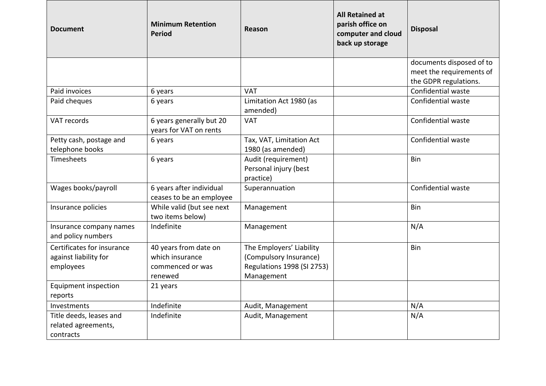| <b>Document</b>                                             | <b>Minimum Retention</b><br><b>Period</b>            | Reason                                                    | <b>All Retained at</b><br>parish office on<br>computer and cloud<br>back up storage | <b>Disposal</b>          |
|-------------------------------------------------------------|------------------------------------------------------|-----------------------------------------------------------|-------------------------------------------------------------------------------------|--------------------------|
|                                                             |                                                      |                                                           |                                                                                     | documents disposed of to |
|                                                             |                                                      |                                                           |                                                                                     | meet the requirements of |
|                                                             |                                                      |                                                           |                                                                                     | the GDPR regulations.    |
| Paid invoices                                               | 6 years                                              | <b>VAT</b>                                                |                                                                                     | Confidential waste       |
| Paid cheques                                                | 6 years                                              | Limitation Act 1980 (as<br>amended)                       |                                                                                     | Confidential waste       |
| VAT records                                                 | 6 years generally but 20<br>years for VAT on rents   | <b>VAT</b>                                                |                                                                                     | Confidential waste       |
| Petty cash, postage and                                     | 6 years                                              | Tax, VAT, Limitation Act                                  |                                                                                     | Confidential waste       |
| telephone books                                             |                                                      | 1980 (as amended)                                         |                                                                                     |                          |
| Timesheets                                                  | 6 years                                              | Audit (requirement)<br>Personal injury (best<br>practice) |                                                                                     | Bin                      |
| Wages books/payroll                                         | 6 years after individual<br>ceases to be an employee | Superannuation                                            |                                                                                     | Confidential waste       |
| Insurance policies                                          | While valid (but see next<br>two items below)        | Management                                                |                                                                                     | Bin                      |
| Insurance company names<br>and policy numbers               | Indefinite                                           | Management                                                |                                                                                     | N/A                      |
| Certificates for insurance                                  | 40 years from date on                                | The Employers' Liability                                  |                                                                                     | Bin                      |
| against liability for                                       | which insurance                                      | (Compulsory Insurance)                                    |                                                                                     |                          |
| employees                                                   | commenced or was                                     | Regulations 1998 (SI 2753)                                |                                                                                     |                          |
|                                                             | renewed                                              | Management                                                |                                                                                     |                          |
| Equipment inspection<br>reports                             | 21 years                                             |                                                           |                                                                                     |                          |
| Investments                                                 | Indefinite                                           | Audit, Management                                         |                                                                                     | N/A                      |
| Title deeds, leases and<br>related agreements,<br>contracts | Indefinite                                           | Audit, Management                                         |                                                                                     | N/A                      |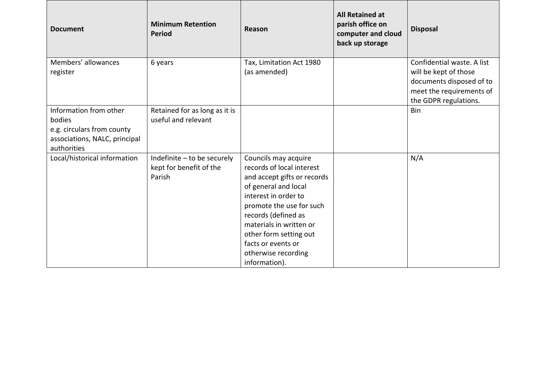| <b>Document</b>                                                                                                | <b>Minimum Retention</b><br><b>Period</b>                        | Reason                                                                                                                                                                                                                                                                                                 | <b>All Retained at</b><br>parish office on<br>computer and cloud<br>back up storage | <b>Disposal</b>                                                                                                                      |
|----------------------------------------------------------------------------------------------------------------|------------------------------------------------------------------|--------------------------------------------------------------------------------------------------------------------------------------------------------------------------------------------------------------------------------------------------------------------------------------------------------|-------------------------------------------------------------------------------------|--------------------------------------------------------------------------------------------------------------------------------------|
| Members' allowances<br>register                                                                                | 6 years                                                          | Tax, Limitation Act 1980<br>(as amended)                                                                                                                                                                                                                                                               |                                                                                     | Confidential waste. A list<br>will be kept of those<br>documents disposed of to<br>meet the requirements of<br>the GDPR regulations. |
| Information from other<br>bodies<br>e.g. circulars from county<br>associations, NALC, principal<br>authorities | Retained for as long as it is<br>useful and relevant             |                                                                                                                                                                                                                                                                                                        |                                                                                     | Bin                                                                                                                                  |
| Local/historical information                                                                                   | Indefinite - to be securely<br>kept for benefit of the<br>Parish | Councils may acquire<br>records of local interest<br>and accept gifts or records<br>of general and local<br>interest in order to<br>promote the use for such<br>records (defined as<br>materials in written or<br>other form setting out<br>facts or events or<br>otherwise recording<br>information). |                                                                                     | N/A                                                                                                                                  |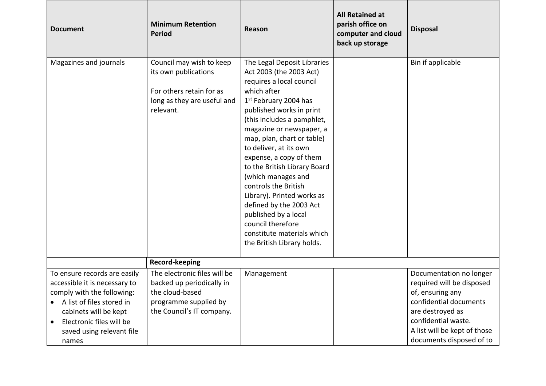| <b>Document</b>                                                                                                                                                 | <b>Minimum Retention</b><br><b>Period</b>                                                                                | Reason                                                                                                                                                                                                                                                                                                                                                                                                                                                                                                                                                          | <b>All Retained at</b><br>parish office on<br>computer and cloud<br>back up storage | <b>Disposal</b>                                                                                                                                   |
|-----------------------------------------------------------------------------------------------------------------------------------------------------------------|--------------------------------------------------------------------------------------------------------------------------|-----------------------------------------------------------------------------------------------------------------------------------------------------------------------------------------------------------------------------------------------------------------------------------------------------------------------------------------------------------------------------------------------------------------------------------------------------------------------------------------------------------------------------------------------------------------|-------------------------------------------------------------------------------------|---------------------------------------------------------------------------------------------------------------------------------------------------|
| Magazines and journals                                                                                                                                          | Council may wish to keep<br>its own publications<br>For others retain for as<br>long as they are useful and<br>relevant. | The Legal Deposit Libraries<br>Act 2003 (the 2003 Act)<br>requires a local council<br>which after<br>1 <sup>st</sup> February 2004 has<br>published works in print<br>(this includes a pamphlet,<br>magazine or newspaper, a<br>map, plan, chart or table)<br>to deliver, at its own<br>expense, a copy of them<br>to the British Library Board<br>(which manages and<br>controls the British<br>Library). Printed works as<br>defined by the 2003 Act<br>published by a local<br>council therefore<br>constitute materials which<br>the British Library holds. |                                                                                     | Bin if applicable                                                                                                                                 |
|                                                                                                                                                                 | Record-keeping                                                                                                           |                                                                                                                                                                                                                                                                                                                                                                                                                                                                                                                                                                 |                                                                                     |                                                                                                                                                   |
| To ensure records are easily<br>accessible it is necessary to                                                                                                   | The electronic files will be<br>backed up periodically in                                                                | Management                                                                                                                                                                                                                                                                                                                                                                                                                                                                                                                                                      |                                                                                     | Documentation no longer<br>required will be disposed                                                                                              |
| comply with the following:<br>A list of files stored in<br>cabinets will be kept<br>Electronic files will be<br>$\bullet$<br>saved using relevant file<br>names | the cloud-based<br>programme supplied by<br>the Council's IT company.                                                    |                                                                                                                                                                                                                                                                                                                                                                                                                                                                                                                                                                 |                                                                                     | of, ensuring any<br>confidential documents<br>are destroyed as<br>confidential waste.<br>A list will be kept of those<br>documents disposed of to |

┍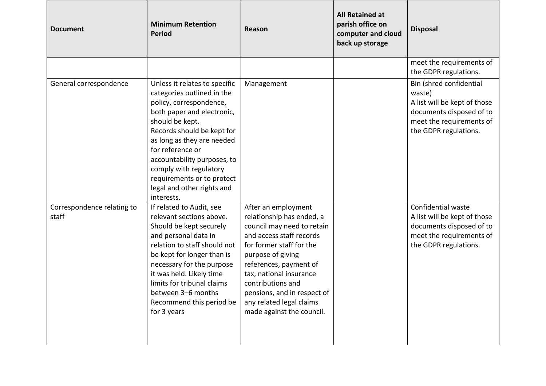| <b>Document</b>                     | <b>Minimum Retention</b><br><b>Period</b>                                                                                                                                                                                                                                                                                                                  | Reason                                                                                                                                                                                                                                                                                                                        | <b>All Retained at</b><br>parish office on<br>computer and cloud<br>back up storage | <b>Disposal</b>                                                                                                                                    |
|-------------------------------------|------------------------------------------------------------------------------------------------------------------------------------------------------------------------------------------------------------------------------------------------------------------------------------------------------------------------------------------------------------|-------------------------------------------------------------------------------------------------------------------------------------------------------------------------------------------------------------------------------------------------------------------------------------------------------------------------------|-------------------------------------------------------------------------------------|----------------------------------------------------------------------------------------------------------------------------------------------------|
|                                     |                                                                                                                                                                                                                                                                                                                                                            |                                                                                                                                                                                                                                                                                                                               |                                                                                     | meet the requirements of<br>the GDPR regulations.                                                                                                  |
| General correspondence              | Unless it relates to specific<br>categories outlined in the<br>policy, correspondence,<br>both paper and electronic,<br>should be kept.<br>Records should be kept for<br>as long as they are needed<br>for reference or<br>accountability purposes, to<br>comply with regulatory<br>requirements or to protect<br>legal and other rights and<br>interests. | Management                                                                                                                                                                                                                                                                                                                    |                                                                                     | Bin (shred confidential<br>waste)<br>A list will be kept of those<br>documents disposed of to<br>meet the requirements of<br>the GDPR regulations. |
| Correspondence relating to<br>staff | If related to Audit, see<br>relevant sections above.<br>Should be kept securely<br>and personal data in<br>relation to staff should not<br>be kept for longer than is<br>necessary for the purpose<br>it was held. Likely time<br>limits for tribunal claims<br>between 3-6 months<br>Recommend this period be<br>for 3 years                              | After an employment<br>relationship has ended, a<br>council may need to retain<br>and access staff records<br>for former staff for the<br>purpose of giving<br>references, payment of<br>tax, national insurance<br>contributions and<br>pensions, and in respect of<br>any related legal claims<br>made against the council. |                                                                                     | Confidential waste<br>A list will be kept of those<br>documents disposed of to<br>meet the requirements of<br>the GDPR regulations.                |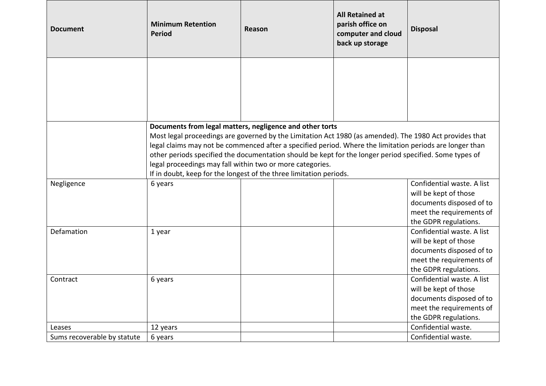| <b>Document</b>             | <b>Minimum Retention</b><br><b>Period</b> | Reason                                                                                                                                                                                                                                                                                                                                                                                                                                                                                                                        | <b>All Retained at</b><br>parish office on<br>computer and cloud<br>back up storage | <b>Disposal</b>                                                                                                                      |
|-----------------------------|-------------------------------------------|-------------------------------------------------------------------------------------------------------------------------------------------------------------------------------------------------------------------------------------------------------------------------------------------------------------------------------------------------------------------------------------------------------------------------------------------------------------------------------------------------------------------------------|-------------------------------------------------------------------------------------|--------------------------------------------------------------------------------------------------------------------------------------|
|                             |                                           |                                                                                                                                                                                                                                                                                                                                                                                                                                                                                                                               |                                                                                     |                                                                                                                                      |
|                             |                                           | Documents from legal matters, negligence and other torts<br>Most legal proceedings are governed by the Limitation Act 1980 (as amended). The 1980 Act provides that<br>legal claims may not be commenced after a specified period. Where the limitation periods are longer than<br>other periods specified the documentation should be kept for the longer period specified. Some types of<br>legal proceedings may fall within two or more categories.<br>If in doubt, keep for the longest of the three limitation periods. |                                                                                     |                                                                                                                                      |
| Negligence                  | 6 years                                   |                                                                                                                                                                                                                                                                                                                                                                                                                                                                                                                               |                                                                                     | Confidential waste. A list<br>will be kept of those<br>documents disposed of to<br>meet the requirements of<br>the GDPR regulations. |
| Defamation                  | 1 year                                    |                                                                                                                                                                                                                                                                                                                                                                                                                                                                                                                               |                                                                                     | Confidential waste. A list<br>will be kept of those<br>documents disposed of to<br>meet the requirements of<br>the GDPR regulations. |
| Contract                    | 6 years                                   |                                                                                                                                                                                                                                                                                                                                                                                                                                                                                                                               |                                                                                     | Confidential waste. A list<br>will be kept of those<br>documents disposed of to<br>meet the requirements of<br>the GDPR regulations. |
| Leases                      | 12 years                                  |                                                                                                                                                                                                                                                                                                                                                                                                                                                                                                                               |                                                                                     | Confidential waste.                                                                                                                  |
| Sums recoverable by statute | 6 years                                   |                                                                                                                                                                                                                                                                                                                                                                                                                                                                                                                               |                                                                                     | Confidential waste.                                                                                                                  |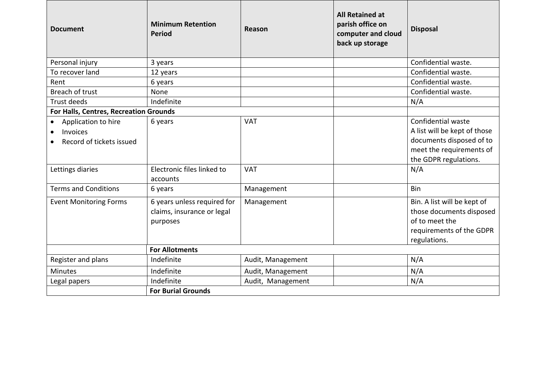| <b>Document</b>                                             | <b>Minimum Retention</b><br><b>Period</b>                             | Reason            | <b>All Retained at</b><br>parish office on<br>computer and cloud<br>back up storage | <b>Disposal</b>                                                                                                                     |
|-------------------------------------------------------------|-----------------------------------------------------------------------|-------------------|-------------------------------------------------------------------------------------|-------------------------------------------------------------------------------------------------------------------------------------|
| Personal injury                                             | 3 years                                                               |                   |                                                                                     | Confidential waste.                                                                                                                 |
| To recover land                                             | 12 years                                                              |                   |                                                                                     | Confidential waste.                                                                                                                 |
| Rent                                                        | 6 years                                                               |                   |                                                                                     | Confidential waste.                                                                                                                 |
| Breach of trust                                             | None                                                                  |                   |                                                                                     | Confidential waste.                                                                                                                 |
| <b>Trust deeds</b>                                          | Indefinite                                                            |                   |                                                                                     | N/A                                                                                                                                 |
| For Halls, Centres, Recreation Grounds                      |                                                                       |                   |                                                                                     |                                                                                                                                     |
| Application to hire<br>Invoices<br>Record of tickets issued | 6 years                                                               | <b>VAT</b>        |                                                                                     | Confidential waste<br>A list will be kept of those<br>documents disposed of to<br>meet the requirements of<br>the GDPR regulations. |
| Lettings diaries                                            | Electronic files linked to<br>accounts                                | <b>VAT</b>        |                                                                                     | N/A                                                                                                                                 |
| <b>Terms and Conditions</b>                                 | 6 years                                                               | Management        |                                                                                     | Bin                                                                                                                                 |
| <b>Event Monitoring Forms</b>                               | 6 years unless required for<br>claims, insurance or legal<br>purposes | Management        |                                                                                     | Bin. A list will be kept of<br>those documents disposed<br>of to meet the<br>requirements of the GDPR<br>regulations.               |
|                                                             | <b>For Allotments</b>                                                 |                   |                                                                                     |                                                                                                                                     |
| Register and plans                                          | Indefinite                                                            | Audit, Management |                                                                                     | N/A                                                                                                                                 |
| <b>Minutes</b>                                              | Indefinite                                                            | Audit, Management |                                                                                     | N/A                                                                                                                                 |
| Legal papers                                                | Indefinite                                                            | Audit, Management |                                                                                     | N/A                                                                                                                                 |
|                                                             | <b>For Burial Grounds</b>                                             |                   |                                                                                     |                                                                                                                                     |

IГ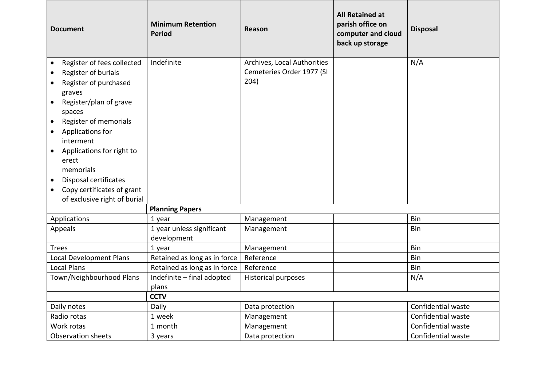| <b>Document</b>                                                                                                                                                                                                                                                                                                                                                                                                   | <b>Minimum Retention</b><br><b>Period</b> | Reason                                                           | <b>All Retained at</b><br>parish office on<br>computer and cloud<br>back up storage | <b>Disposal</b>    |
|-------------------------------------------------------------------------------------------------------------------------------------------------------------------------------------------------------------------------------------------------------------------------------------------------------------------------------------------------------------------------------------------------------------------|-------------------------------------------|------------------------------------------------------------------|-------------------------------------------------------------------------------------|--------------------|
| Register of fees collected<br>$\bullet$<br>Register of burials<br>$\bullet$<br>Register of purchased<br>$\bullet$<br>graves<br>Register/plan of grave<br>$\bullet$<br>spaces<br>Register of memorials<br>$\bullet$<br>Applications for<br>$\bullet$<br>interment<br>Applications for right to<br>$\bullet$<br>erect<br>memorials<br>Disposal certificates<br>$\bullet$<br>Copy certificates of grant<br>$\bullet$ | Indefinite                                | Archives, Local Authorities<br>Cemeteries Order 1977 (SI<br>204) |                                                                                     | N/A                |
| of exclusive right of burial                                                                                                                                                                                                                                                                                                                                                                                      | <b>Planning Papers</b>                    |                                                                  |                                                                                     |                    |
| Applications                                                                                                                                                                                                                                                                                                                                                                                                      | 1 year                                    | Management                                                       |                                                                                     | Bin                |
| Appeals                                                                                                                                                                                                                                                                                                                                                                                                           | 1 year unless significant<br>development  | Management                                                       |                                                                                     | Bin                |
| <b>Trees</b>                                                                                                                                                                                                                                                                                                                                                                                                      | 1 year                                    | Management                                                       |                                                                                     | Bin                |
| Local Development Plans                                                                                                                                                                                                                                                                                                                                                                                           | Retained as long as in force              | Reference                                                        |                                                                                     | Bin                |
| <b>Local Plans</b>                                                                                                                                                                                                                                                                                                                                                                                                | Retained as long as in force              | Reference                                                        |                                                                                     | Bin                |
| Town/Neighbourhood Plans                                                                                                                                                                                                                                                                                                                                                                                          | Indefinite - final adopted<br>plans       | <b>Historical purposes</b>                                       |                                                                                     | N/A                |
|                                                                                                                                                                                                                                                                                                                                                                                                                   | <b>CCTV</b>                               |                                                                  |                                                                                     |                    |
| Daily notes                                                                                                                                                                                                                                                                                                                                                                                                       | Daily                                     | Data protection                                                  |                                                                                     | Confidential waste |
| Radio rotas                                                                                                                                                                                                                                                                                                                                                                                                       | 1 week                                    | Management                                                       |                                                                                     | Confidential waste |
| Work rotas                                                                                                                                                                                                                                                                                                                                                                                                        | 1 month                                   | Management                                                       |                                                                                     | Confidential waste |
| Observation sheets                                                                                                                                                                                                                                                                                                                                                                                                | 3 years                                   | Data protection                                                  |                                                                                     | Confidential waste |